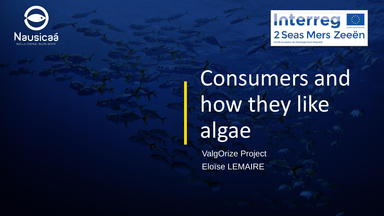



# Consumers and how they like algae

ValgOrize Project Eloïse LEMAIRE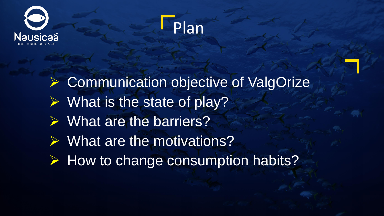



➢ Communication objective of ValgOrize ➢ What is the state of play? ➢ What are the barriers? ➢ What are the motivations? ➢ How to change consumption habits?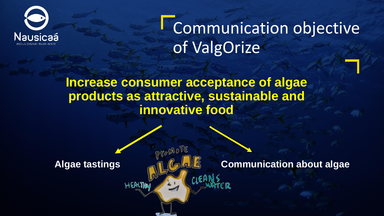

**Communication objective** of ValgOrize

**Increase consumer acceptance of algae products as attractive, sustainable and innovative food**

ProchoTE

**Algae tastings Communication about algae**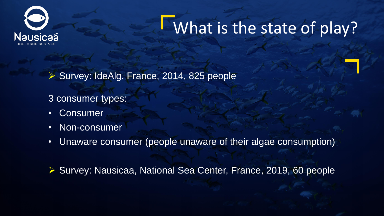

### What is the state of play?

➢ Survey: IdeAlg, France, 2014, 825 people

3 consumer types:

- Consumer
- Non-consumer
- Unaware consumer (people unaware of their algae consumption)

➢ Survey: Nausicaa, National Sea Center, France, 2019, 60 people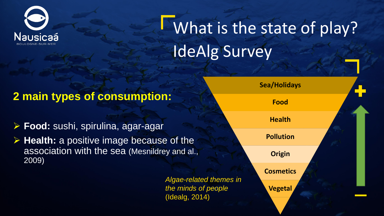

### **What is the state of play?** IdeAlg Survey

#### **2 main types of consumption:**

- ➢ **Food:** sushi, spirulina, agar-agar
- ➢ **Health:** a positive image because of the association with the sea (Mesnildrey and al., 2009)

*Algae-related themes in the minds of people* (Idealg, 2014)

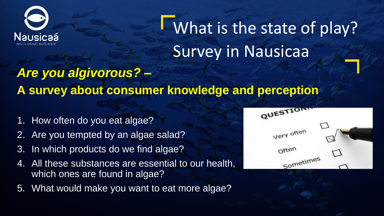

What is the state of play? Survey in Nausicaa

### *Are you algivorous? –* **A survey about consumer knowledge and perception**

- 1. How often do you eat algae?
- 2. Are you tempted by an algae salad?
- 3. In which products do we find algae?
- 4. All these substances are essential to our health, which ones are found in algae?
- 5. What would make you want to eat more algae?

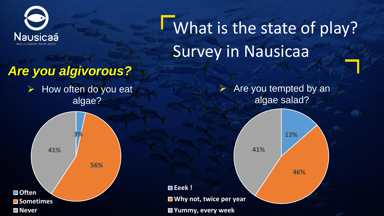

What is the state of play? Survey in Nausicaa

**41%**

**Eeek !**

**Why not, twice per year**

**Yummy, every week**

### *Are you algivorous?*

➢ How often do you eat algae?

➢ Are you tempted by an algae salad?

**13%**

**46%**

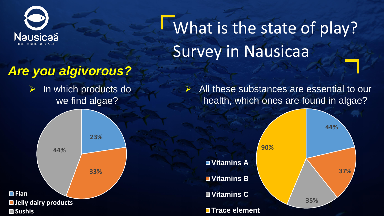

What is the state of play? Survey in Nausicaa

#### *Are you algivorous?*

➢ In which products do we find algae?

 $\triangleright$  All these substances are essential to our health, which ones are found in algae?



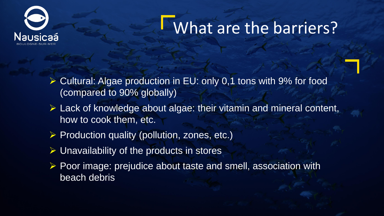

### What are the barriers?

- ➢ Cultural: Algae production in EU: only 0,1 tons with 9% for food (compared to 90% globally)
- $\triangleright$  Lack of knowledge about algae: their vitamin and mineral content, how to cook them, etc.
- ➢ Production quality (pollution, zones, etc.)
- ➢ Unavailability of the products in stores
- ➢ Poor image: prejudice about taste and smell, association with beach debris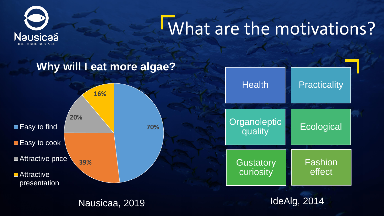

## What are the motivations?

#### **Why will I eat more algae?**



Nausicaa, 2019

IdeAlg, 2014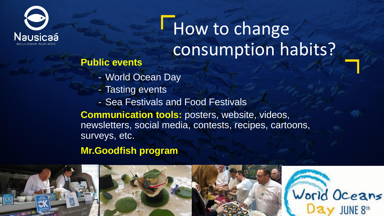![](_page_10_Picture_0.jpeg)

## How to change consumption habits?

- **Public events** - World Ocean Day
	- Tasting events
	- Sea Festivals and Food Festivals

**Communication tools:** posters, website, videos, newsletters, social media, contests, recipes, cartoons, surveys, etc.

**Mr.Goodfish program** 

![](_page_10_Picture_7.jpeg)

![](_page_10_Picture_8.jpeg)